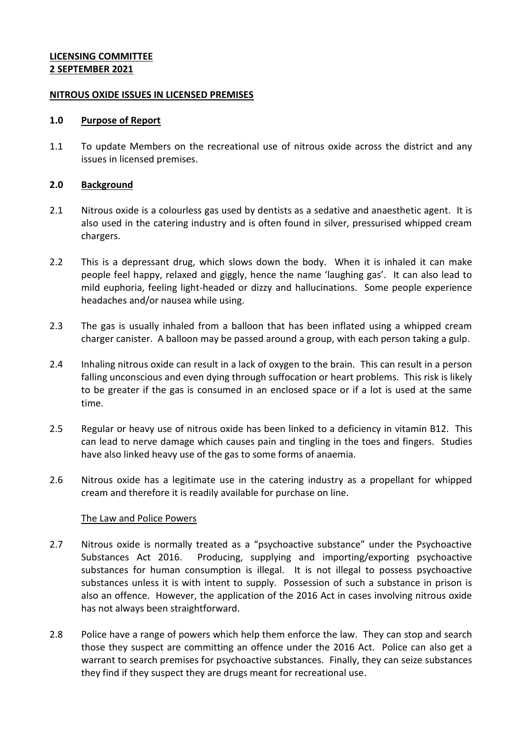### **LICENSING COMMITTEE 2 SEPTEMBER 2021**

### **NITROUS OXIDE ISSUES IN LICENSED PREMISES**

#### **1.0 Purpose of Report**

1.1 To update Members on the recreational use of nitrous oxide across the district and any issues in licensed premises.

### **2.0 Background**

- 2.1 Nitrous oxide is a colourless gas used by dentists as a sedative and anaesthetic agent. It is also used in the catering industry and is often found in silver, pressurised whipped cream chargers.
- 2.2 This is a depressant drug, which slows down the body. When it is inhaled it can make people feel happy, relaxed and giggly, hence the name 'laughing gas'. It can also lead to mild euphoria, feeling light-headed or dizzy and hallucinations. Some people experience headaches and/or nausea while using.
- 2.3 The gas is usually inhaled from a balloon that has been inflated using a whipped cream charger canister. A balloon may be passed around a group, with each person taking a gulp.
- 2.4 Inhaling nitrous oxide can result in a lack of oxygen to the brain. This can result in a person falling unconscious and even dying through suffocation or heart problems. This risk is likely to be greater if the gas is consumed in an enclosed space or if a lot is used at the same time.
- 2.5 Regular or heavy use of nitrous oxide has been linked to a deficiency in vitamin B12. This can lead to nerve damage which causes pain and tingling in the toes and fingers. Studies have also linked heavy use of the gas to some forms of anaemia.
- 2.6 Nitrous oxide has a legitimate use in the catering industry as a propellant for whipped cream and therefore it is readily available for purchase on line.

### The Law and Police Powers

- 2.7 Nitrous oxide is normally treated as a "psychoactive substance" under the Psychoactive Substances Act 2016. Producing, supplying and importing/exporting psychoactive substances for human consumption is illegal. It is not illegal to possess psychoactive substances unless it is with intent to supply. Possession of such a substance in prison is also an offence. However, the application of the 2016 Act in cases involving nitrous oxide has not always been straightforward.
- 2.8 Police have a range of powers which help them enforce the law. They can stop and search those they suspect are committing an offence under the 2016 Act. Police can also get a warrant to search premises for psychoactive substances. Finally, they can seize substances they find if they suspect they are drugs meant for recreational use.